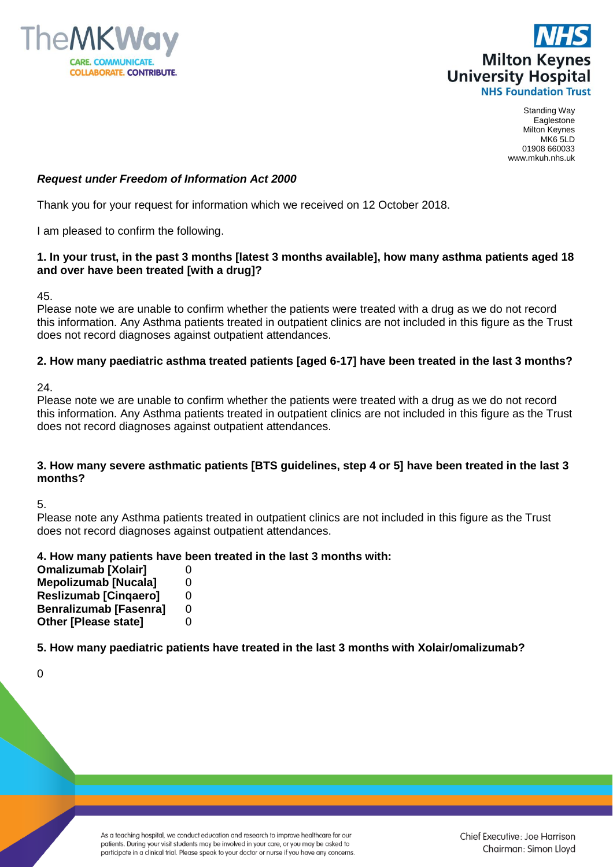



Standing Way Eaglestone Milton Keynes MK6 5LD 01908 660033 www.mkuh.nhs.uk

# *Request under Freedom of Information Act 2000*

Thank you for your request for information which we received on 12 October 2018.

I am pleased to confirm the following.

# **1. In your trust, in the past 3 months [latest 3 months available], how many asthma patients aged 18 and over have been treated [with a drug]?**

45.

Please note we are unable to confirm whether the patients were treated with a drug as we do not record this information. Any Asthma patients treated in outpatient clinics are not included in this figure as the Trust does not record diagnoses against outpatient attendances.

# **2. How many paediatric asthma treated patients [aged 6-17] have been treated in the last 3 months?**

24.

Please note we are unable to confirm whether the patients were treated with a drug as we do not record this information. Any Asthma patients treated in outpatient clinics are not included in this figure as the Trust does not record diagnoses against outpatient attendances.

# **3. How many severe asthmatic patients [BTS guidelines, step 4 or 5] have been treated in the last 3 months?**

5.

Please note any Asthma patients treated in outpatient clinics are not included in this figure as the Trust does not record diagnoses against outpatient attendances.

# **4. How many patients have been treated in the last 3 months with:**

**Omalizumab [Xolair]Mepolizumab [Nucala]Reslizumab [Cinqaero]Benralizumab [Fasenra]Other [Please state]**

**5. How many paediatric patients have treated in the last 3 months with Xolair/omalizumab?**

 $\Omega$ 

As a teaching hospital, we conduct education and research to improve healthcare for our patients. During your visit students may be involved in your care, or you may be asked to participate in a clinical trial. Please speak to your doctor or nurse if you have any concerns.